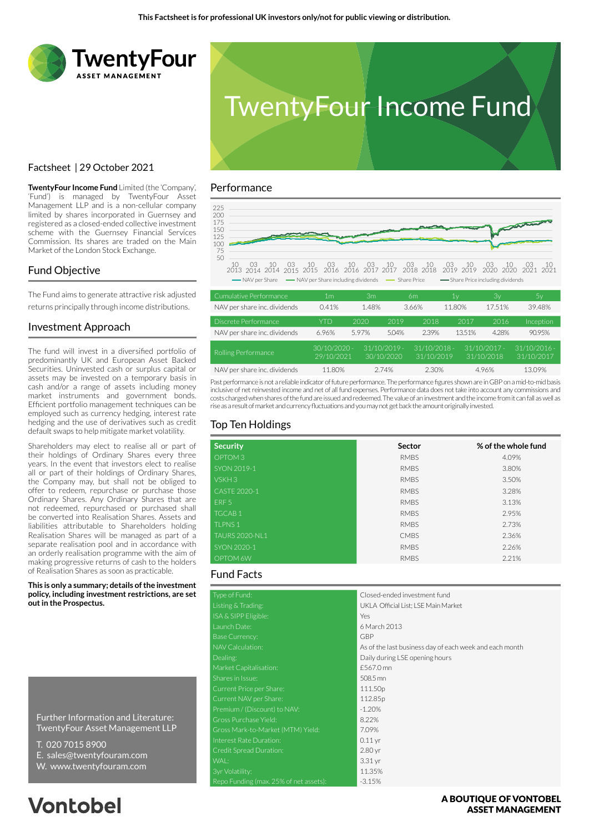



# Factsheet | 29 October 2021

**TwentyFour Income Fund** Limited (the 'Company', 'Fund') is managed by TwentyFour Asset Management LLP and is a non-cellular company limited by shares incorporated in Guernsey and registered as a closed-ended collective investment scheme with the Guernsey Financial Services Commission. Its shares are traded on the Main Market of the London Stock Exchange.

# Fund Objective

The Fund aims to generate attractive risk adjusted returns principally through income distributions.

### Investment Approach

The fund will invest in a diversified portfolio of predominantly UK and European Asset Backed Securities. Uninvested cash or surplus capital or assets may be invested on a temporary basis in cash and/or a range of assets including money market instruments and government bonds. Efficient portfolio management techniques can be employed such as currency hedging, interest rate hedging and the use of derivatives such as credit default swaps to help mitigate market volatility.

Shareholders may elect to realise all or part of their holdings of Ordinary Shares every three years. In the event that investors elect to realise all or part of their holdings of Ordinary Shares, the Company may, but shall not be obliged to offer to redeem, repurchase or purchase those Ordinary Shares. Any Ordinary Shares that are not redeemed, repurchased or purchased shall be converted into Realisation Shares. Assets and liabilities attributable to Shareholders holding Realisation Shares will be managed as part of a separate realisation pool and in accordance with an orderly realisation programme with the aim of making progressive returns of cash to the holders of Realisation Shares as soon as practicable.

**This is only a summary; details of the investment policy, including investment restrictions, are set out in the Prospectus.**

Further Information and Literature: TwentyFour Asset Management LLP

- T. 020 7015 8900
- E. sales@twentyfouram.com
- W. www.twentyfouram.com

# **Vontobel**

### Performance



|                              |                              | .                            |       |                              |        | $\sim$ ,                     | $\sim$ $\prime$              |
|------------------------------|------------------------------|------------------------------|-------|------------------------------|--------|------------------------------|------------------------------|
| NAV per share inc. dividends | 0.41%                        | 1.48%                        |       | 3.66%                        | 11.80% | 17.51%                       | 39.48%                       |
| Discrete Performance         | YTD                          | 2020                         | 2019  | 2018                         | 2017   | 2016                         | Inception                    |
| NAV per share inc. dividends | 6.96%                        | 5.97%                        | 5.04% | 2.39%                        | 13.51% | 4.28%                        | 90.95%                       |
| Rolling Performance          | $30/10/2020 -$<br>29/10/2021 | $31/10/2019 -$<br>30/10/2020 |       | $31/10/2018 -$<br>31/10/2019 |        | $31/10/2017 -$<br>31/10/2018 | $31/10/2016 -$<br>31/10/2017 |
| NAV per share inc. dividends | 11.80%                       | 2.74%                        |       | 2.30%                        |        | 4.96%                        | 13.09%                       |

Past performance is not a reliable indicator of future performance. The performance figures shown are in GBP on a mid-to-mid basis inclusive of net reinvested income and net of all fund expenses. Performance data does not take into account any commissions and costs charged when shares of the fund are issued and redeemed. The value of an investment and the income from it can fall as well as rise as a result of market and currency fluctuations and you may not get back the amount originally invested.

# Top Ten Holdings

| <b>Security</b>       | Sector      | % of the whole fund |
|-----------------------|-------------|---------------------|
| OPTOM <sub>3</sub>    | <b>RMBS</b> | 4.09%               |
| SYON 2019-1           | <b>RMBS</b> | 3.80%               |
| VSKH <sub>3</sub>     | <b>RMBS</b> | 3.50%               |
| CASTE 2020-1          | <b>RMBS</b> | 3.28%               |
| ERF <sub>5</sub>      | <b>RMBS</b> | 3.13%               |
| <b>TGCAB1</b>         | <b>RMBS</b> | 2.95%               |
| <b>TLPNS1</b>         | <b>RMBS</b> | 2.73%               |
| <b>TAURS 2020-NL1</b> | <b>CMBS</b> | 2.36%               |
| SYON 2020-1           | <b>RMBS</b> | 2.26%               |
| OPTOM 6W              | <b>RMBS</b> | 2.21%               |

### Fund Facts

| Type of Fund:                          | Closed-ended investment fund                            |
|----------------------------------------|---------------------------------------------------------|
| Listing & Trading:                     | UKLA Official List; LSE Main Market                     |
| ISA & SIPP Eligible:                   | Yes                                                     |
| Launch Date:                           | 6 March 2013                                            |
| <b>Base Currency:</b>                  | GBP                                                     |
| NAV Calculation:                       | As of the last business day of each week and each month |
| Dealing:                               | Daily during LSE opening hours                          |
| Market Capitalisation:                 | £567.0 mn                                               |
| Shares in Issue:                       | 508.5 mn                                                |
| Current Price per Share:               | 111.50p                                                 |
| Current NAV per Share:                 | 112.85p                                                 |
| Premium / (Discount) to NAV:           | $-1.20%$                                                |
| Gross Purchase Yield:                  | 8.22%                                                   |
| Gross Mark-to-Market (MTM) Yield:      | 7.09%                                                   |
| Interest Rate Duration:                | $0.11$ yr                                               |
| Credit Spread Duration:                | 2.80 <sub>yr</sub>                                      |
| WAL:                                   | 3.31 yr                                                 |
| 3yr Volatility:                        | 11.35%                                                  |
| Repo Funding (max. 25% of net assets): | $-3.15%$                                                |

### A BOUTIOUE OF VONTOBEL **ASSET MANAGEMENT**